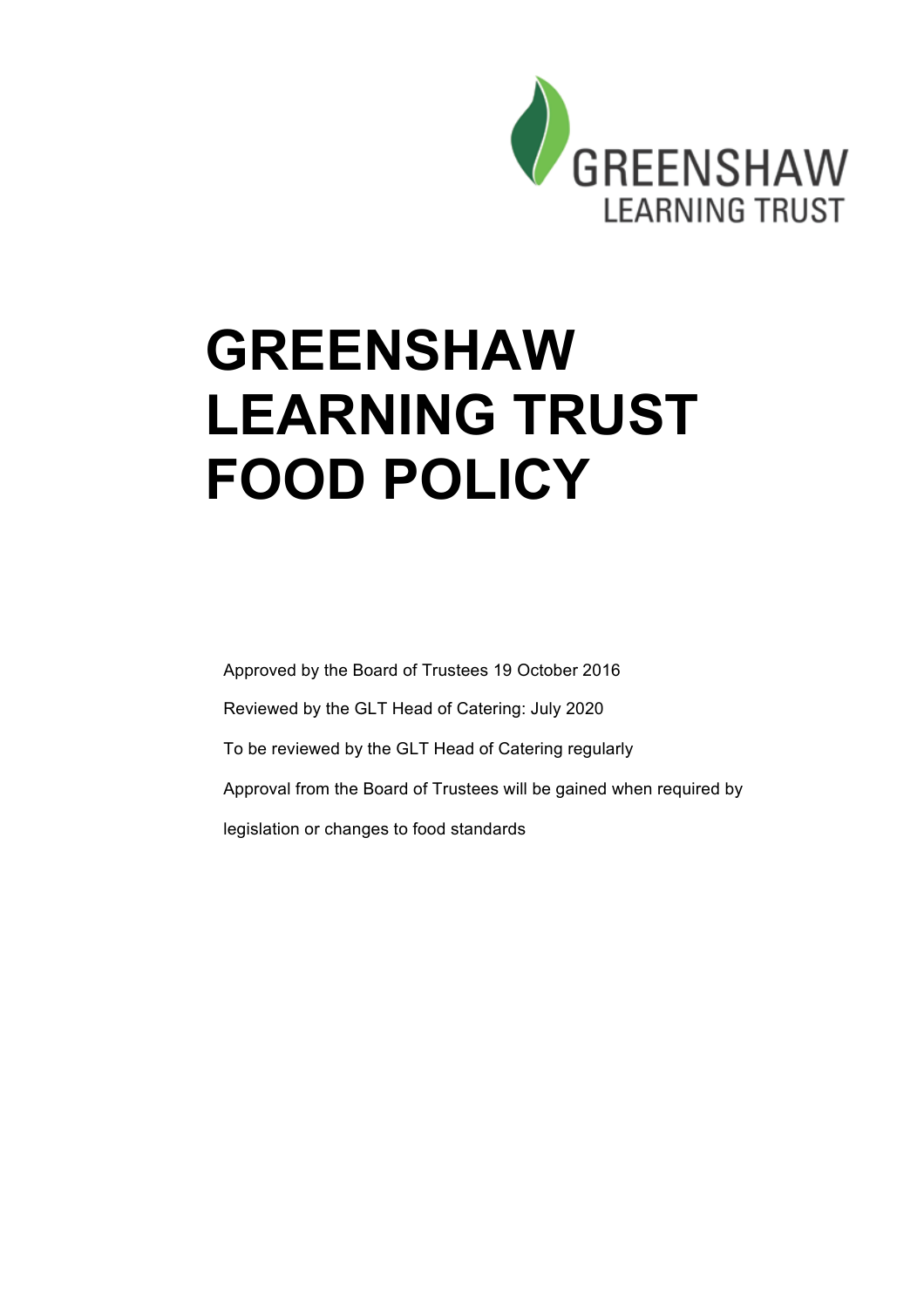

# **GREENSHAW LEARNING TRUST FOOD POLICY**

Approved by the Board of Trustees 19 October 2016 Reviewed by the GLT Head of Catering: July 2020 To be reviewed by the GLT Head of Catering regularly Approval from the Board of Trustees will be gained when required by legislation or changes to food standards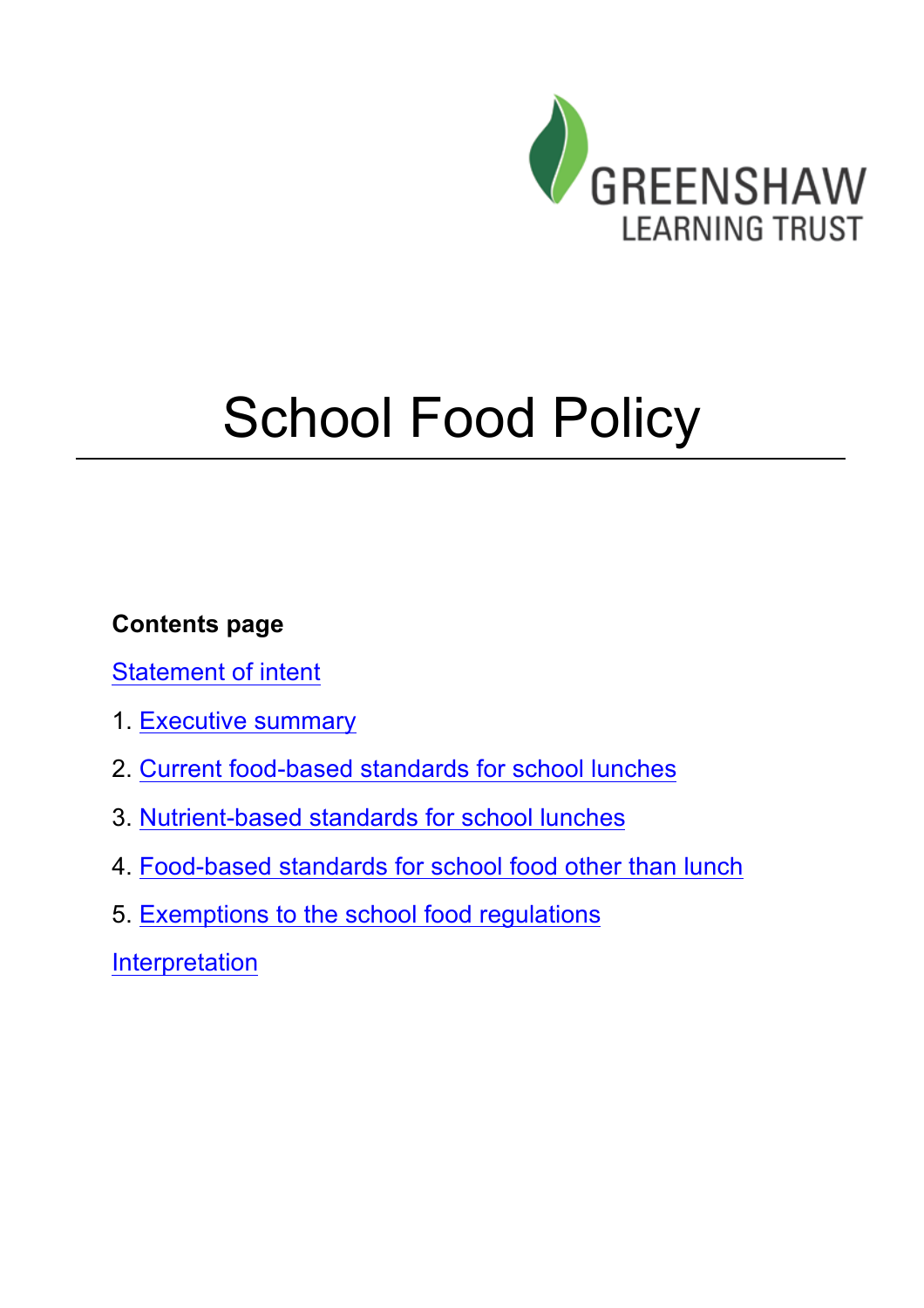

# School Food Policy

# **Contents page**

Statement of intent

- 1. Executive summary
- 2. Current food-based standards for school lunches
- 3. Nutrient-based standards for school lunches
- 4. Food-based standards for school food other than lunch
- 5. Exemptions to the school food regulations

Interpretation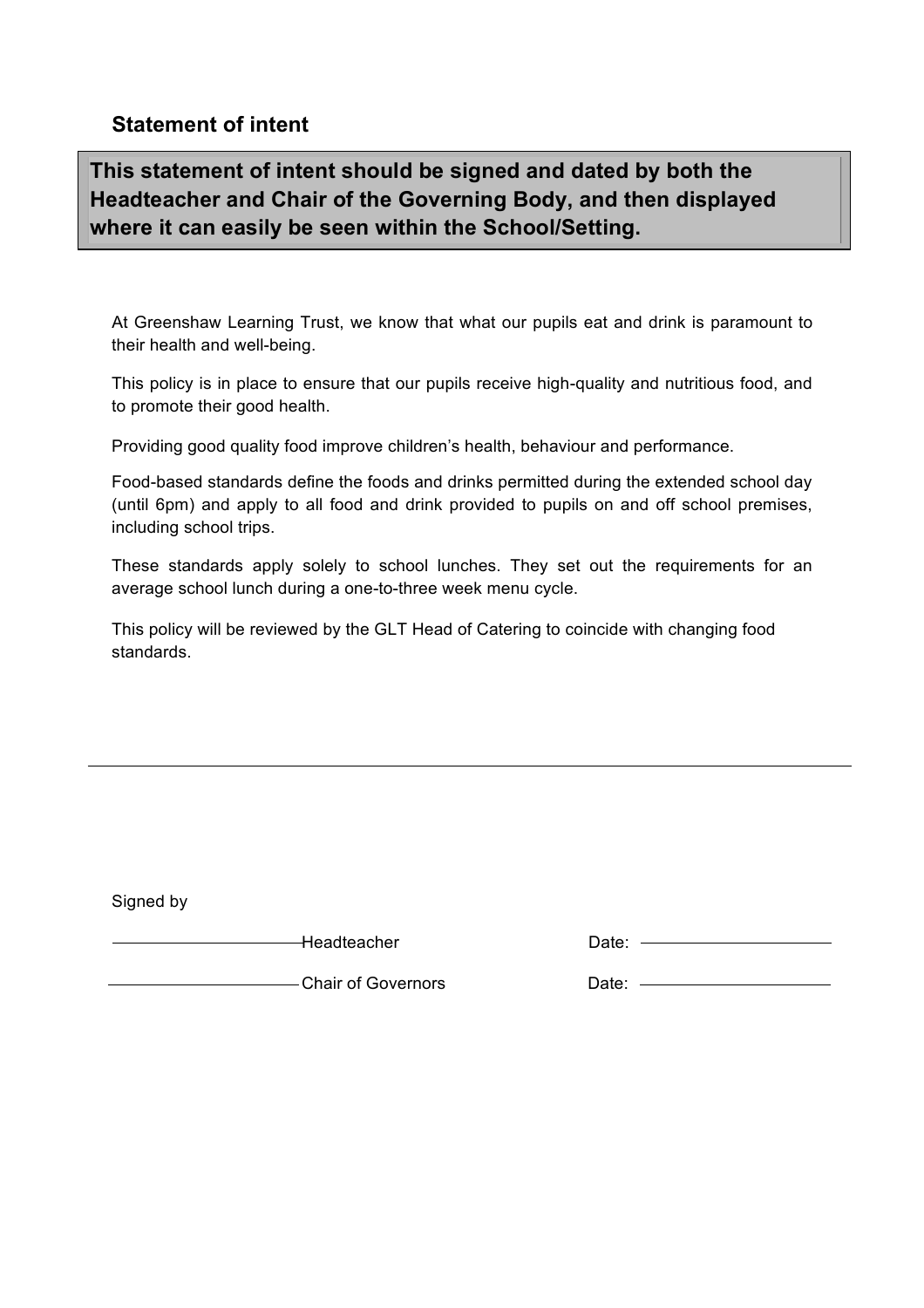## **Statement of intent**

**This statement of intent should be signed and dated by both the Headteacher and Chair of the Governing Body, and then displayed where it can easily be seen within the School/Setting.** 

At Greenshaw Learning Trust, we know that what our pupils eat and drink is paramount to their health and well-being.

This policy is in place to ensure that our pupils receive high-quality and nutritious food, and to promote their good health.

Providing good quality food improve children's health, behaviour and performance.

Food-based standards define the foods and drinks permitted during the extended school day (until 6pm) and apply to all food and drink provided to pupils on and off school premises, including school trips.

These standards apply solely to school lunches. They set out the requirements for an average school lunch during a one-to-three week menu cycle.

This policy will be reviewed by the GLT Head of Catering to coincide with changing food standards.

Signed by

Headteacher

| Date: |  |
|-------|--|
|       |  |

Chair of Governors **Date:** 2004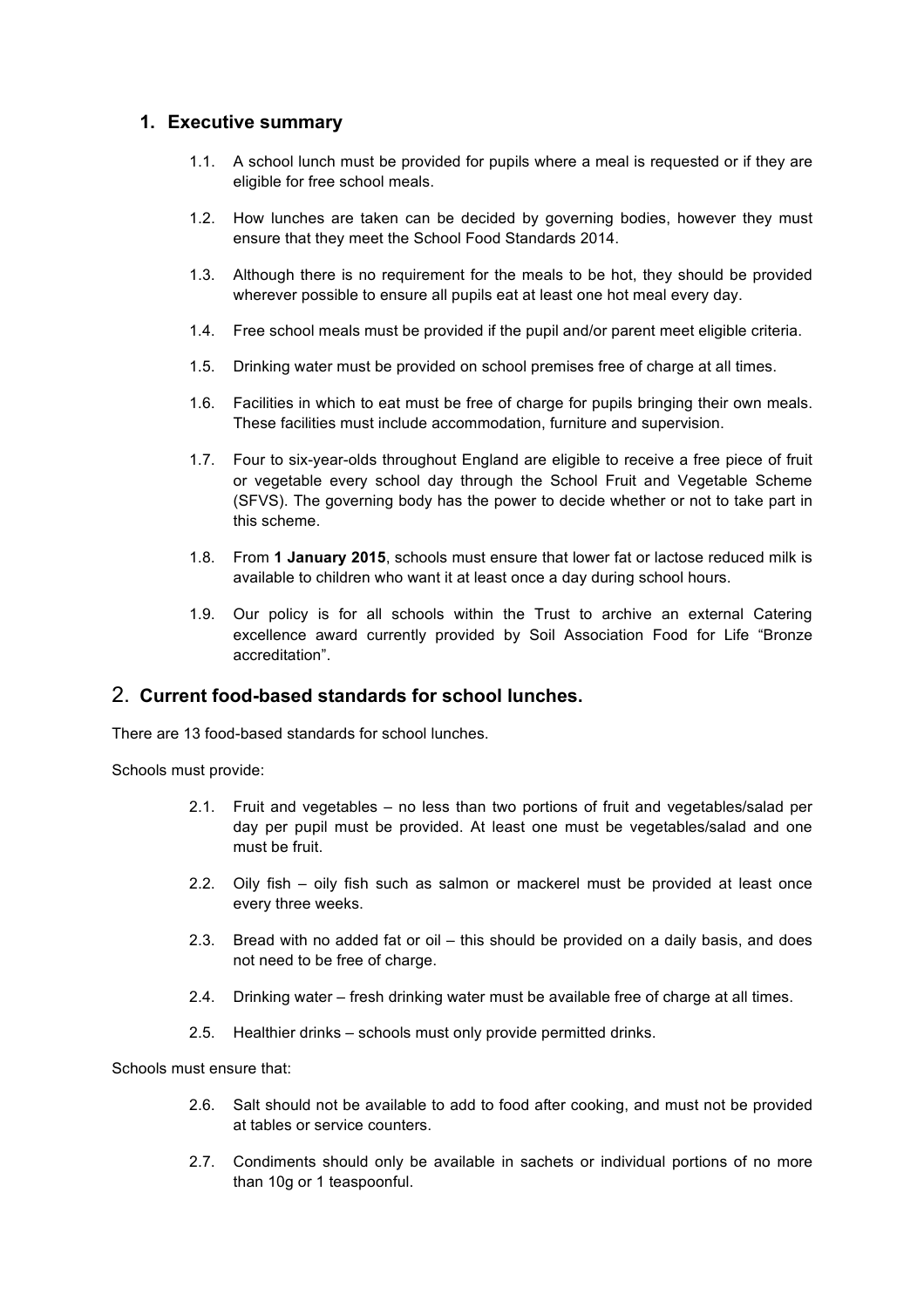#### **1. Executive summary**

- 1.1. A school lunch must be provided for pupils where a meal is requested or if they are eligible for free school meals.
- 1.2. How lunches are taken can be decided by governing bodies, however they must ensure that they meet the School Food Standards 2014.
- 1.3. Although there is no requirement for the meals to be hot, they should be provided wherever possible to ensure all pupils eat at least one hot meal every day.
- 1.4. Free school meals must be provided if the pupil and/or parent meet eligible criteria.
- 1.5. Drinking water must be provided on school premises free of charge at all times.
- 1.6. Facilities in which to eat must be free of charge for pupils bringing their own meals. These facilities must include accommodation, furniture and supervision.
- 1.7. Four to six-year-olds throughout England are eligible to receive a free piece of fruit or vegetable every school day through the School Fruit and Vegetable Scheme (SFVS). The governing body has the power to decide whether or not to take part in this scheme.
- 1.8. From **1 January 2015**, schools must ensure that lower fat or lactose reduced milk is available to children who want it at least once a day during school hours.
- 1.9. Our policy is for all schools within the Trust to archive an external Catering excellence award currently provided by Soil Association Food for Life "Bronze accreditation".

#### 2. **Current food-based standards for school lunches.**

There are 13 food-based standards for school lunches.

Schools must provide:

- 2.1. Fruit and vegetables no less than two portions of fruit and vegetables/salad per day per pupil must be provided. At least one must be vegetables/salad and one must be fruit.
- 2.2. Oily fish oily fish such as salmon or mackerel must be provided at least once every three weeks.
- 2.3. Bread with no added fat or oil this should be provided on a daily basis, and does not need to be free of charge.
- 2.4. Drinking water fresh drinking water must be available free of charge at all times.
- 2.5. Healthier drinks schools must only provide permitted drinks.

Schools must ensure that:

- 2.6. Salt should not be available to add to food after cooking, and must not be provided at tables or service counters.
- 2.7. Condiments should only be available in sachets or individual portions of no more than 10g or 1 teaspoonful.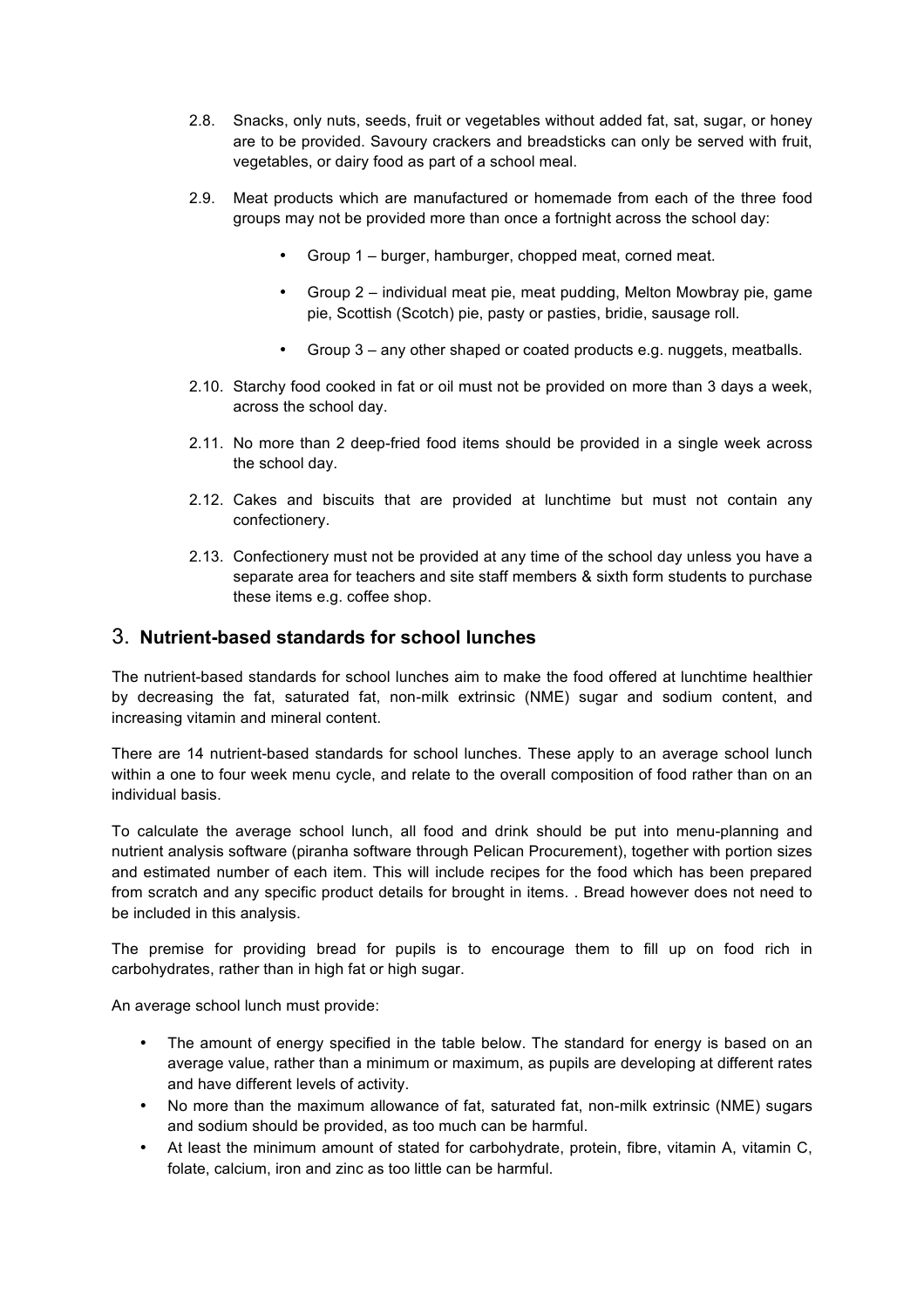- 2.8. Snacks, only nuts, seeds, fruit or vegetables without added fat, sat, sugar, or honey are to be provided. Savoury crackers and breadsticks can only be served with fruit, vegetables, or dairy food as part of a school meal.
- 2.9. Meat products which are manufactured or homemade from each of the three food groups may not be provided more than once a fortnight across the school day:
	- Group 1 burger, hamburger, chopped meat, corned meat.
	- Group 2 individual meat pie, meat pudding, Melton Mowbray pie, game pie, Scottish (Scotch) pie, pasty or pasties, bridie, sausage roll.
	- Group 3 any other shaped or coated products e.g. nuggets, meatballs.
- 2.10. Starchy food cooked in fat or oil must not be provided on more than 3 days a week, across the school day.
- 2.11. No more than 2 deep-fried food items should be provided in a single week across the school day.
- 2.12. Cakes and biscuits that are provided at lunchtime but must not contain any confectionery.
- 2.13. Confectionery must not be provided at any time of the school day unless you have a separate area for teachers and site staff members & sixth form students to purchase these items e.g. coffee shop.

### 3. **Nutrient-based standards for school lunches**

The nutrient-based standards for school lunches aim to make the food offered at lunchtime healthier by decreasing the fat, saturated fat, non-milk extrinsic (NME) sugar and sodium content, and increasing vitamin and mineral content.

There are 14 nutrient-based standards for school lunches. These apply to an average school lunch within a one to four week menu cycle, and relate to the overall composition of food rather than on an individual basis.

To calculate the average school lunch, all food and drink should be put into menu-planning and nutrient analysis software (piranha software through Pelican Procurement), together with portion sizes and estimated number of each item. This will include recipes for the food which has been prepared from scratch and any specific product details for brought in items. . Bread however does not need to be included in this analysis.

The premise for providing bread for pupils is to encourage them to fill up on food rich in carbohydrates, rather than in high fat or high sugar.

An average school lunch must provide:

- The amount of energy specified in the table below. The standard for energy is based on an average value, rather than a minimum or maximum, as pupils are developing at different rates and have different levels of activity.
- No more than the maximum allowance of fat, saturated fat, non-milk extrinsic (NME) sugars and sodium should be provided, as too much can be harmful.
- At least the minimum amount of stated for carbohydrate, protein, fibre, vitamin A, vitamin C, folate, calcium, iron and zinc as too little can be harmful.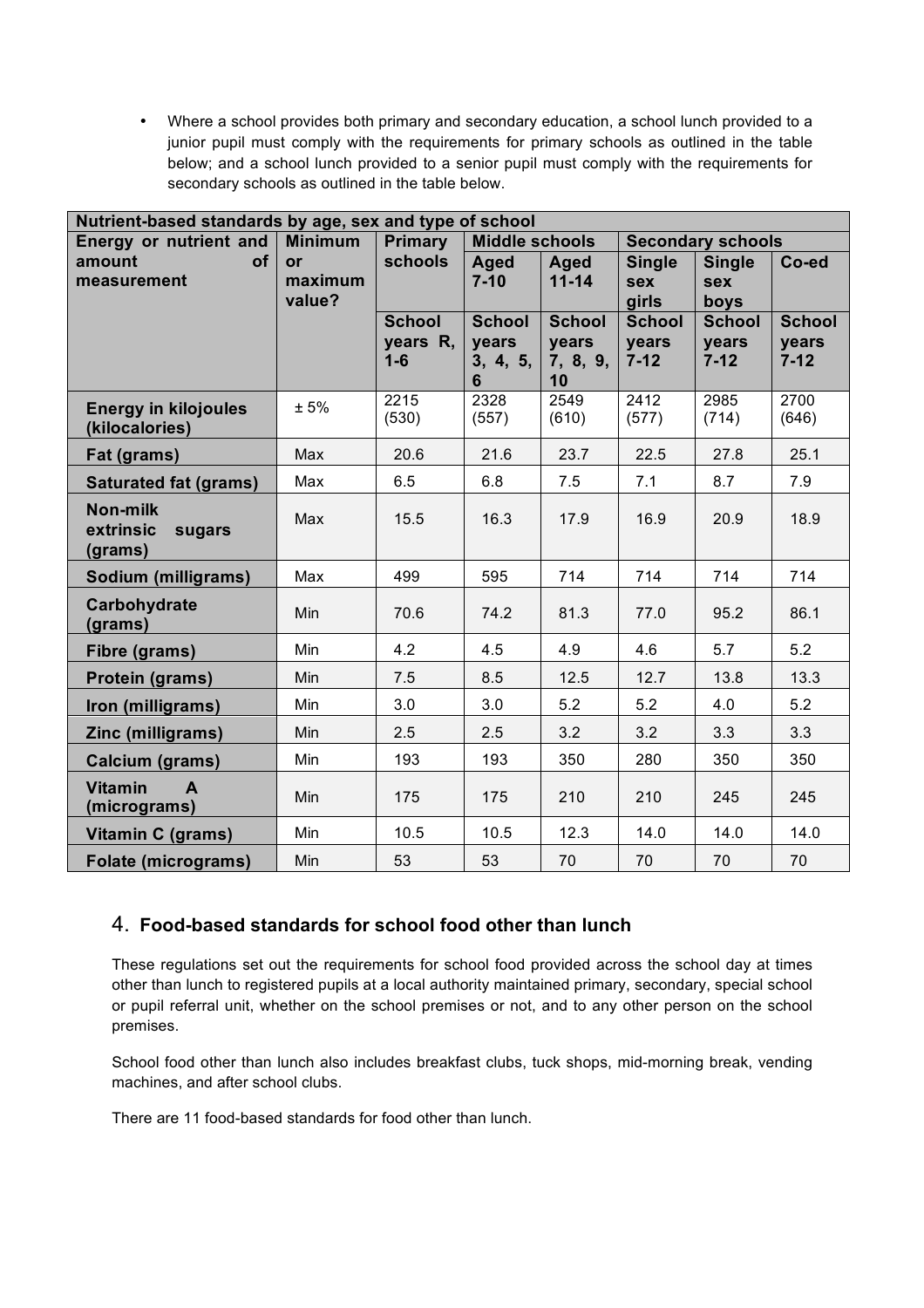Where a school provides both primary and secondary education, a school lunch provided to a junior pupil must comply with the requirements for primary schools as outlined in the table below; and a school lunch provided to a senior pupil must comply with the requirements for secondary schools as outlined in the table below.

| Nutrient-based standards by age, sex and type of school |                |                           |                        |                        |                          |                        |                        |  |  |
|---------------------------------------------------------|----------------|---------------------------|------------------------|------------------------|--------------------------|------------------------|------------------------|--|--|
| Energy or nutrient and                                  | <b>Minimum</b> | <b>Primary</b>            | <b>Middle schools</b>  |                        | <b>Secondary schools</b> |                        |                        |  |  |
| of<br>amount                                            | or             | schools                   | Aged                   | Aged                   | <b>Single</b>            | <b>Single</b>          | Co-ed                  |  |  |
| measurement                                             | maximum        |                           | $7 - 10$               | $11 - 14$              | <b>sex</b>               | <b>sex</b>             |                        |  |  |
|                                                         | value?         |                           |                        |                        | girls                    | boys                   |                        |  |  |
|                                                         |                | <b>School</b><br>years R, | <b>School</b><br>years | <b>School</b><br>years | <b>School</b><br>years   | <b>School</b><br>years | <b>School</b><br>years |  |  |
|                                                         |                | $1-6$                     | 3, 4, 5,<br>6          | 7, 8, 9,<br>10         | $7 - 12$                 | $7 - 12$               | $7 - 12$               |  |  |
| <b>Energy in kilojoules</b><br>(kilocalories)           | ± 5%           | 2215<br>(530)             | 2328<br>(557)          | 2549<br>(610)          | 2412<br>(577)            | 2985<br>(714)          | 2700<br>(646)          |  |  |
| Fat (grams)                                             | Max            | 20.6                      | 21.6                   | 23.7                   | 22.5                     | 27.8                   | 25.1                   |  |  |
| <b>Saturated fat (grams)</b>                            | Max            | 6.5                       | 6.8                    | 7.5                    | 7.1                      | 8.7                    | 7.9                    |  |  |
| Non-milk<br>extrinsic<br>sugars<br>(grams)              | Max            | 15.5                      | 16.3                   | 17.9                   | 16.9                     | 20.9                   | 18.9                   |  |  |
| Sodium (milligrams)                                     | Max            | 499                       | 595                    | 714                    | 714                      | 714                    | 714                    |  |  |
| Carbohydrate<br>(grams)                                 | Min            | 70.6                      | 74.2                   | 81.3                   | 77.0                     | 95.2                   | 86.1                   |  |  |
| Fibre (grams)                                           | Min            | 4.2                       | 4.5                    | 4.9                    | 4.6                      | 5.7                    | 5.2                    |  |  |
| Protein (grams)                                         | Min            | 7.5                       | 8.5                    | 12.5                   | 12.7                     | 13.8                   | 13.3                   |  |  |
| Iron (milligrams)                                       | Min            | 3.0                       | 3.0                    | 5.2                    | 5.2                      | 4.0                    | 5.2                    |  |  |
| Zinc (milligrams)                                       | <b>Min</b>     | 2.5                       | 2.5                    | 3.2                    | 3.2                      | 3.3                    | 3.3                    |  |  |
| Calcium (grams)                                         | Min            | 193                       | 193                    | 350                    | 280                      | 350                    | 350                    |  |  |
| <b>Vitamin</b><br>$\mathsf{A}$<br>(micrograms)          | Min            | 175                       | 175                    | 210                    | 210                      | 245                    | 245                    |  |  |
| Vitamin C (grams)                                       | Min            | 10.5                      | 10.5                   | 12.3                   | 14.0                     | 14.0                   | 14.0                   |  |  |
| <b>Folate (micrograms)</b>                              | Min            | 53                        | 53                     | 70                     | 70                       | 70                     | 70                     |  |  |

### 4. **Food-based standards for school food other than lunch**

These regulations set out the requirements for school food provided across the school day at times other than lunch to registered pupils at a local authority maintained primary, secondary, special school or pupil referral unit, whether on the school premises or not, and to any other person on the school premises.

School food other than lunch also includes breakfast clubs, tuck shops, mid-morning break, vending machines, and after school clubs.

There are 11 food-based standards for food other than lunch.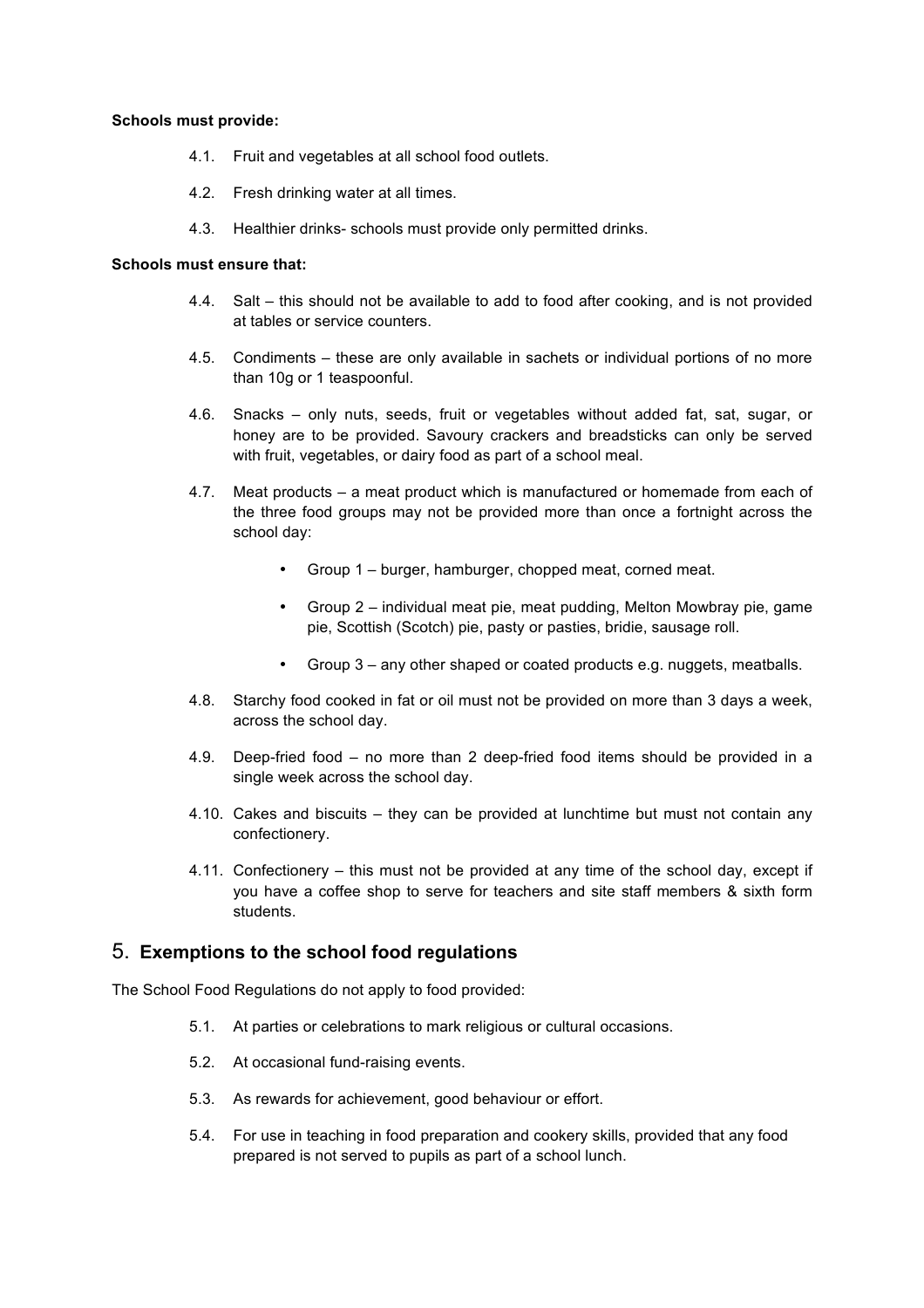#### **Schools must provide:**

- 4.1. Fruit and vegetables at all school food outlets.
- 4.2. Fresh drinking water at all times.
- 4.3. Healthier drinks- schools must provide only permitted drinks.

#### **Schools must ensure that:**

- 4.4. Salt this should not be available to add to food after cooking, and is not provided at tables or service counters.
- 4.5. Condiments these are only available in sachets or individual portions of no more than 10g or 1 teaspoonful.
- 4.6. Snacks only nuts, seeds, fruit or vegetables without added fat, sat, sugar, or honey are to be provided. Savoury crackers and breadsticks can only be served with fruit, vegetables, or dairy food as part of a school meal.
- 4.7. Meat products a meat product which is manufactured or homemade from each of the three food groups may not be provided more than once a fortnight across the school day:
	- Group 1 burger, hamburger, chopped meat, corned meat.
	- Group 2 individual meat pie, meat pudding, Melton Mowbray pie, game pie, Scottish (Scotch) pie, pasty or pasties, bridie, sausage roll.
	- Group 3 any other shaped or coated products e.g. nuggets, meatballs.
- 4.8. Starchy food cooked in fat or oil must not be provided on more than 3 days a week, across the school day.
- 4.9. Deep-fried food no more than 2 deep-fried food items should be provided in a single week across the school day.
- 4.10. Cakes and biscuits they can be provided at lunchtime but must not contain any confectionery.
- 4.11. Confectionery this must not be provided at any time of the school day, except if you have a coffee shop to serve for teachers and site staff members & sixth form students.

#### 5. **Exemptions to the school food regulations**

The School Food Regulations do not apply to food provided:

- 5.1. At parties or celebrations to mark religious or cultural occasions.
- 5.2. At occasional fund-raising events.
- 5.3. As rewards for achievement, good behaviour or effort.
- 5.4. For use in teaching in food preparation and cookery skills, provided that any food prepared is not served to pupils as part of a school lunch.